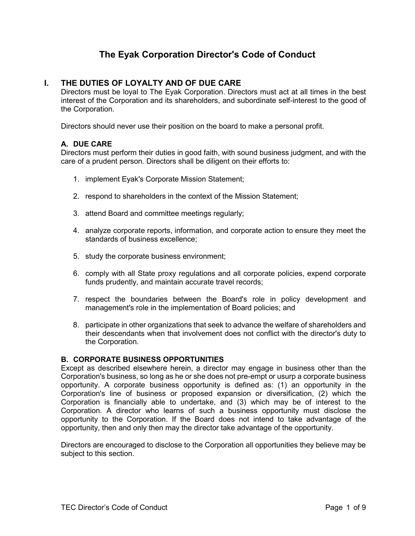# **The Eyak Corporation Director's Code of Conduct**

# **I. THE DUTIES OF LOYALTY AND OF DUE CARE**

Directors must be loyal to The Eyak Corporation. Directors must act at all times in the best interest of the Corporation and its shareholders, and subordinate self-interest to the good of the Corporation.

Directors should never use their position on the board to make a personal profit.

## **A. DUE CARE**

Directors must perform their duties in good faith, with sound business judgment, and with the care of a prudent person. Directors shall be diligent on their efforts to:

- 1. implement Eyak's Corporate Mission Statement;
- 2. respond to shareholders in the context of the Mission Statement;
- 3. attend Board and committee meetings regularly;
- 4. analyze corporate reports, information, and corporate action to ensure they meet the standards of business excellence;
- 5. study the corporate business environment;
- 6. comply with all State proxy regulations and all corporate policies, expend corporate funds prudently, and maintain accurate travel records;
- 7. respect the boundaries between the Board's role in policy development and management's role in the implementation of Board policies; and
- 8. participate in other organizations that seek to advance the welfare of shareholders and their descendants when that involvement does not conflict with the director's duty to the Corporation.

## **B. CORPORATE BUSINESS OPPORTUNITIES**

Except as described elsewhere herein, a director may engage in business other than the Corporation's business, so long as he or she does not pre-empt or usurp a corporate business opportunity. A corporate business opportunity is defined as: (1) an opportunity in the Corporation's line of business or proposed expansion or diversification, (2) which the Corporation is financially able to undertake, and (3) which may be of interest to the Corporation. A director who learns of such a business opportunity must disclose the opportunity to the Corporation. If the Board does not intend to take advantage of the opportunity, then and only then may the director take advantage of the opportunity.

Directors are encouraged to disclose to the Corporation all opportunities they believe may be subject to this section.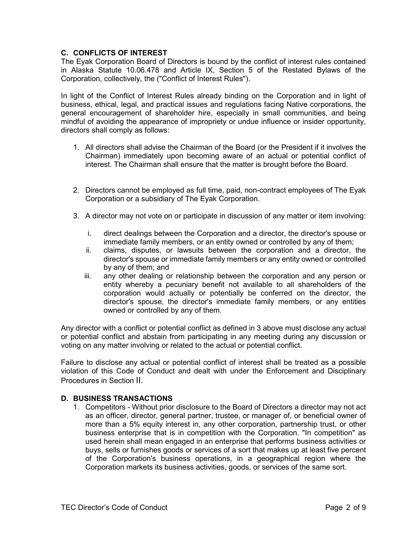## **C. CONFLICTS OF INTEREST**

The Eyak Corporation Board of Directors is bound by the conflict of interest rules contained in Alaska Statute 10.06.478 and Article IX, Section 5 of the Restated Bylaws of the Corporation, collectively, the ("Conflict of Interest Rules").

In light of the Conflict of Interest Rules already binding on the Corporation and in light of business, ethical, legal, and practical issues and regulations facing Native corporations, the general encouragement of shareholder hire, especially in small communities, and being mindful of avoiding the appearance of impropriety or undue influence or insider opportunity, directors shall comply as follows:

- 1. All directors shall advise the Chairman of the Board (or the President if it involves the Chairman) immediately upon becoming aware of an actual or potential conflict of interest. The Chairman shall ensure that the matter is brought before the Board.
- 2. Directors cannot be employed as full time, paid, non-contract employees of The Eyak Corporation or a subsidiary of The Eyak Corporation.
- 3. A director may not vote on or participate in discussion of any matter or item involving:
	- i. direct dealings between the Corporation and a director, the director's spouse or immediate family members, or an entity owned or controlled by any of them;
	- ii. claims, disputes, or lawsuits between the corporation and a director, the director's spouse or immediate family members or any entity owned or controlled by any of them; and
	- iii. any other dealing or relationship between the corporation and any person or entity whereby a pecuniary benefit not available to all shareholders of the corporation would actually or potentially be conferred on the director, the director's spouse, the director's immediate family members, or any entities owned or controlled by any of them.

Any director with a conflict or potential conflict as defined in 3 above must disclose any actual or potential conflict and abstain from participating in any meeting during any discussion or voting on any matter involving or related to the actual or potential conflict.

Failure to disclose any actual or potential conflict of interest shall be treated as a possible violation of this Code of Conduct and dealt with under the Enforcement and Disciplinary Procedures in Section II.

## **D. BUSINESS TRANSACTIONS**

1. Competitors - Without prior disclosure to the Board of Directors a director may not act as an officer, director, general partner, trustee, or manager of, or beneficial owner of more than a 5% equity interest in, any other corporation, partnership trust, or other business enterprise that is in competition with the Corporation. "In competition" as used herein shall mean engaged in an enterprise that performs business activities or buys, sells or furnishes goods or services of a sort that makes up at least five percent of the Corporation's business operations, in a geographical region where the Corporation markets its business activities, goods, or services of the same sort.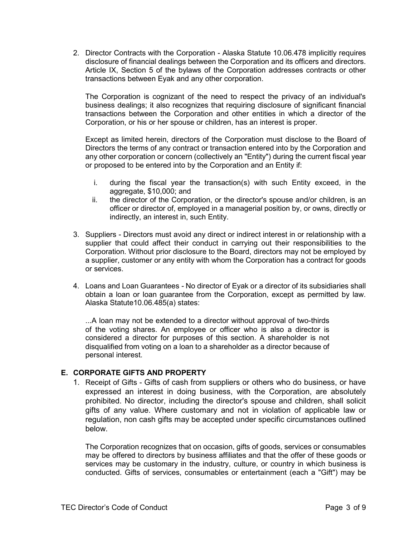2. Director Contracts with the Corporation - Alaska Statute 10.06.478 implicitly requires disclosure of financial dealings between the Corporation and its officers and directors. Article IX, Section 5 of the bylaws of the Corporation addresses contracts or other transactions between Eyak and any other corporation.

The Corporation is cognizant of the need to respect the privacy of an individual's business dealings; it also recognizes that requiring disclosure of significant financial transactions between the Corporation and other entities in which a director of the Corporation, or his or her spouse or children, has an interest is proper.

Except as limited herein, directors of the Corporation must disclose to the Board of Directors the terms of any contract or transaction entered into by the Corporation and any other corporation or concern (collectively an "Entity") during the current fiscal year or proposed to be entered into by the Corporation and an Entity if:

- i. during the fiscal year the transaction(s) with such Entity exceed, in the aggregate, \$10,000; and
- ii. the director of the Corporation, or the director's spouse and/or children, is an officer or director of, employed in a managerial position by, or owns, directly or indirectly, an interest in, such Entity.
- 3. Suppliers Directors must avoid any direct or indirect interest in or relationship with a supplier that could affect their conduct in carrying out their responsibilities to the Corporation. Without prior disclosure to the Board, directors may not be employed by a supplier, customer or any entity with whom the Corporation has a contract for goods or services.
- 4. Loans and Loan Guarantees *-* No director of Eyak or a director of its subsidiaries shall obtain a loan or loan guarantee from the Corporation, except as permitted by law. Alaska Statute10.06.485(a) states:

...A loan may not be extended to a director without approval of two-thirds of the voting shares. An employee or officer who is also a director is considered a director for purposes of this section. A shareholder is not disqualified from voting on a loan to a shareholder as a director because of personal interest.

## **E. CORPORATE GIFTS AND PROPERTY**

1. Receipt of Gifts - Gifts of cash from suppliers or others who do business, or have expressed an interest in doing business, with the Corporation, are absolutely prohibited. No director, including the director's spouse and children, shall solicit gifts of any value. Where customary and not in violation of applicable law or regulation, non cash gifts may be accepted under specific circumstances outlined below.

The Corporation recognizes that on occasion, gifts of goods, services or consumables may be offered to directors by business affiliates and that the offer of these goods or services may be customary in the industry, culture, or country in which business is conducted. Gifts of services, consumables or entertainment (each a "Gift") may be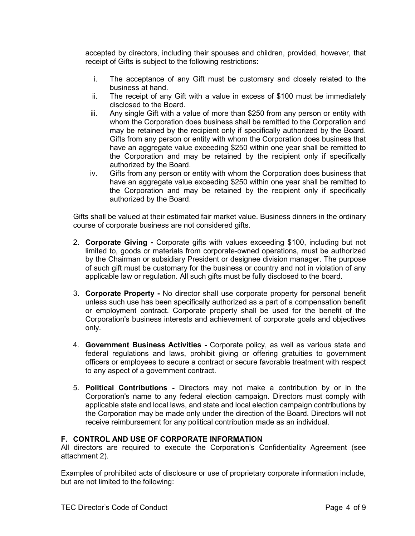accepted by directors, including their spouses and children, provided, however, that receipt of Gifts is subject to the following restrictions:

- i. The acceptance of any Gift must be customary and closely related to the business at hand.
- ii. The receipt of any Gift with a value in excess of \$100 must be immediately disclosed to the Board.
- iii. Any single Gift with a value of more than \$250 from any person or entity with whom the Corporation does business shall be remitted to the Corporation and may be retained by the recipient only if specifically authorized by the Board. Gifts from any person or entity with whom the Corporation does business that have an aggregate value exceeding \$250 within one year shall be remitted to the Corporation and may be retained by the recipient only if specifically authorized by the Board.
- iv. Gifts from any person or entity with whom the Corporation does business that have an aggregate value exceeding \$250 within one year shall be remitted to the Corporation and may be retained by the recipient only if specifically authorized by the Board.

Gifts shall be valued at their estimated fair market value. Business dinners in the ordinary course of corporate business are not considered gifts.

- 2. **Corporate Giving -** Corporate gifts with values exceeding \$100, including but not limited to, goods or materials from corporate-owned operations, must be authorized by the Chairman or subsidiary President or designee division manager. The purpose of such gift must be customary for the business or country and not in violation of any applicable law or regulation. All such gifts must be fully disclosed to the board.
- 3. **Corporate Property -** No director shall use corporate property for personal benefit unless such use has been specifically authorized as a part of a compensation benefit or employment contract. Corporate property shall be used for the benefit of the Corporation's business interests and achievement of corporate goals and objectives only.
- 4. **Government Business Activities -** Corporate policy, as well as various state and federal regulations and laws, prohibit giving or offering gratuities to government officers or employees to secure a contract or secure favorable treatment with respect to any aspect of a government contract.
- 5. **Political Contributions -** Directors may not make a contribution by or in the Corporation's name to any federal election campaign. Directors must comply with applicable state and local laws, and state and local election campaign contributions by the Corporation may be made only under the direction of the Board. Directors will not receive reimbursement for any political contribution made as an individual.

## **F. CONTROL AND USE OF CORPORATE INFORMATION**

All directors are required to execute the Corporation's Confidentiality Agreement (see attachment 2).

Examples of prohibited acts of disclosure or use of proprietary corporate information include, but are not limited to the following: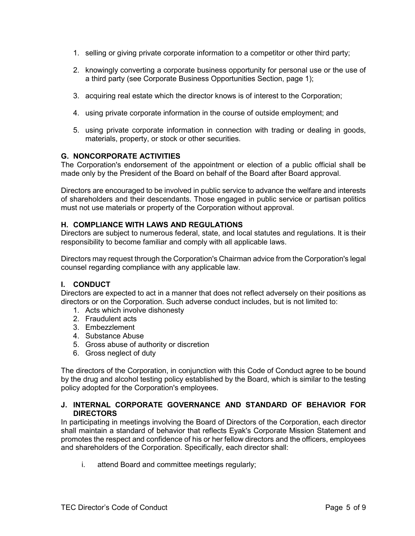- 1. selling or giving private corporate information to a competitor or other third party;
- 2. knowingly converting a corporate business opportunity for personal use or the use of a third party (see Corporate Business Opportunities Section, page 1);
- 3. acquiring real estate which the director knows is of interest to the Corporation;
- 4. using private corporate information in the course of outside employment; and
- 5. using private corporate information in connection with trading or dealing in goods, materials, property, or stock or other securities.

#### **G. NONCORPORATE ACTIVITIES**

The Corporation's endorsement of the appointment or election of a public official shall be made only by the President of the Board on behalf of the Board after Board approval.

Directors are encouraged to be involved in public service to advance the welfare and interests of shareholders and their descendants. Those engaged in public service or partisan politics must not use materials or property of the Corporation without approval.

#### **H. COMPLIANCE WITH LAWS AND REGULATIONS**

Directors are subject to numerous federal, state, and local statutes and regulations. It is their responsibility to become familiar and comply with all applicable laws.

Directors may request through the Corporation's Chairman advice from the Corporation's legal counsel regarding compliance with any applicable law.

## **I. CONDUCT**

Directors are expected to act in a manner that does not reflect adversely on their positions as directors or on the Corporation. Such adverse conduct includes, but is not limited to:

- 1. Acts which involve dishonesty
- 2. Fraudulent acts
- 3. Embezzlement
- 4. Substance Abuse
- 5. Gross abuse of authority or discretion
- 6. Gross neglect of duty

The directors of the Corporation, in conjunction with this Code of Conduct agree to be bound by the drug and alcohol testing policy established by the Board, which is similar to the testing policy adopted for the Corporation's employees.

#### **J. INTERNAL CORPORATE GOVERNANCE AND STANDARD OF BEHAVIOR FOR DIRECTORS**

In participating in meetings involving the Board of Directors of the Corporation, each director shall maintain a standard of behavior that reflects Eyak's Corporate Mission Statement and promotes the respect and confidence of his or her fellow directors and the officers, employees and shareholders of the Corporation. Specifically, each director shall:

i. attend Board and committee meetings regularly;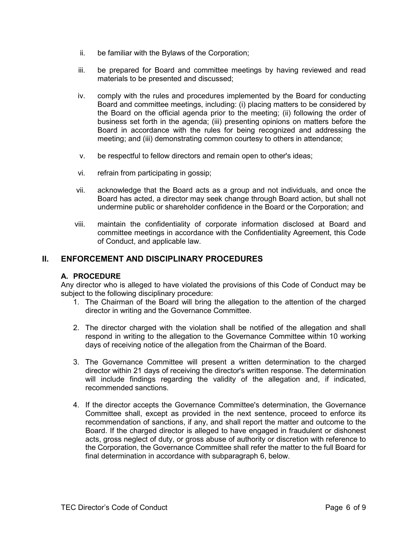- ii. be familiar with the Bylaws of the Corporation;
- iii. be prepared for Board and committee meetings by having reviewed and read materials to be presented and discussed;
- iv. comply with the rules and procedures implemented by the Board for conducting Board and committee meetings, including: (i) placing matters to be considered by the Board on the official agenda prior to the meeting; (ii) following the order of business set forth in the agenda; (iii) presenting opinions on matters before the Board in accordance with the rules for being recognized and addressing the meeting; and (iii) demonstrating common courtesy to others in attendance;
- v. be respectful to fellow directors and remain open to other's ideas;
- vi. refrain from participating in gossip;
- vii. acknowledge that the Board acts as a group and not individuals, and once the Board has acted, a director may seek change through Board action, but shall not undermine public or shareholder confidence in the Board or the Corporation; and
- viii. maintain the confidentiality of corporate information disclosed at Board and committee meetings in accordance with the Confidentiality Agreement, this Code of Conduct, and applicable law.

## **II. ENFORCEMENT AND DISCIPLINARY PROCEDURES**

## **A. PROCEDURE**

Any director who is alleged to have violated the provisions of this Code of Conduct may be subject to the following disciplinary procedure:

- 1. The Chairman of the Board will bring the allegation to the attention of the charged director in writing and the Governance Committee.
- 2. The director charged with the violation shall be notified of the allegation and shall respond in writing to the allegation to the Governance Committee within 10 working days of receiving notice of the allegation from the Chairman of the Board.
- 3. The Governance Committee will present a written determination to the charged director within 21 days of receiving the director's written response. The determination will include findings regarding the validity of the allegation and, if indicated, recommended sanctions.
- 4. If the director accepts the Governance Committee's determination, the Governance Committee shall, except as provided in the next sentence, proceed to enforce its recommendation of sanctions, if any, and shall report the matter and outcome to the Board. If the charged director is alleged to have engaged in fraudulent or dishonest acts, gross neglect of duty, or gross abuse of authority or discretion with reference to the Corporation, the Governance Committee shall refer the matter to the full Board for final determination in accordance with subparagraph 6, below.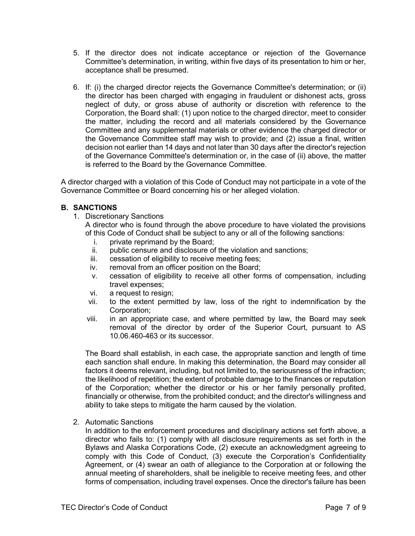- 5. If the director does not indicate acceptance or rejection of the Governance Committee's determination, in writing, within five days of its presentation to him or her, acceptance shall be presumed.
- 6. If: (i) the charged director rejects the Governance Committee's determination; or (ii) the director has been charged with engaging in fraudulent or dishonest acts, gross neglect of duty, or gross abuse of authority or discretion with reference to the Corporation, the Board shall: (1) upon notice to the charged director, meet to consider the matter, including the record and all materials considered by the Governance Committee and any supplemental materials or other evidence the charged director or the Governance Committee staff may wish to provide; and (2) issue a final, written decision not earlier than 14 days and not later than 30 days after the director's rejection of the Governance Committee's determination or, in the case of (ii) above, the matter is referred to the Board by the Governance Committee.

A director charged with a violation of this Code of Conduct may not participate in a vote of the Governance Committee or Board concerning his or her alleged violation.

## **B. SANCTIONS**

1. Discretionary Sanctions

A director who is found through the above procedure to have violated the provisions of this Code of Conduct shall be subject to any or all of the following sanctions:

- i. private reprimand by the Board;<br>ii. public censure and disclosure of
- public censure and disclosure of the violation and sanctions;
- iii. cessation of eligibility to receive meeting fees;
- iv. removal from an officer position on the Board;
- v. cessation of eligibility to receive all other forms of compensation, including travel expenses;
- vi. a request to resign;
- vii. to the extent permitted by law, loss of the right to indemnification by the Corporation;
- viii. in an appropriate case, and where permitted by law, the Board may seek removal of the director by order of the Superior Court, pursuant to AS 10.06.460-463 or its successor.

The Board shall establish, in each case, the appropriate sanction and length of time each sanction shall endure. In making this determination, the Board may consider all factors it deems relevant, including, but not limited to, the seriousness of the infraction; the likelihood of repetition; the extent of probable damage to the finances or reputation of the Corporation; whether the director or his or her family personally profited, financially or otherwise, from the prohibited conduct; and the director's willingness and ability to take steps to mitigate the harm caused by the violation.

2. Automatic Sanctions

In addition to the enforcement procedures and disciplinary actions set forth above, a director who fails to: (1) comply with all disclosure requirements as set forth in the Bylaws and Alaska Corporations Code, (2) execute an acknowledgment agreeing to comply with this Code of Conduct, (3) execute the Corporation's Confidentiality Agreement, or (4) swear an oath of allegiance to the Corporation at or following the annual meeting of shareholders, shall be ineligible to receive meeting fees, and other forms of compensation, including travel expenses. Once the director's failure has been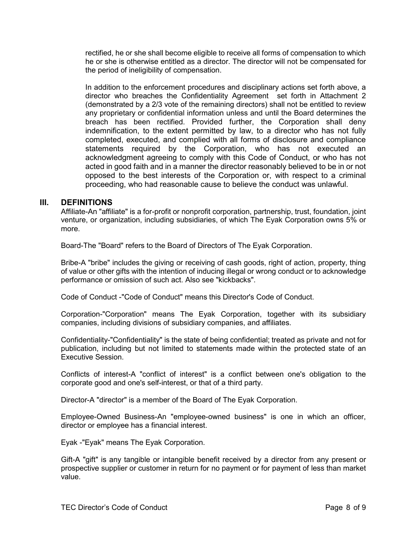rectified, he or she shall become eligible to receive all forms of compensation to which he or she is otherwise entitled as a director. The director will not be compensated for the period of ineligibility of compensation.

In addition to the enforcement procedures and disciplinary actions set forth above, a director who breaches the Confidentiality Agreement set forth in Attachment 2 (demonstrated by a 2/3 vote of the remaining directors) shall not be entitled to review any proprietary or confidential information unless and until the Board determines the breach has been rectified. Provided further, the Corporation shall deny indemnification, to the extent permitted by law, to a director who has not fully completed, executed, and complied with all forms of disclosure and compliance statements required by the Corporation, who has not executed an acknowledgment agreeing to comply with this Code of Conduct, or who has not acted in good faith and in a manner the director reasonably believed to be in or not opposed to the best interests of the Corporation or, with respect to a criminal proceeding, who had reasonable cause to believe the conduct was unlawful.

## **III. DEFINITIONS**

Affiliate-An "affiliate" is a for-profit or nonprofit corporation, partnership, trust, foundation, joint venture, or organization, including subsidiaries, of which The Eyak Corporation owns 5% or more.

Board-The "Board" refers to the Board of Directors of The Eyak Corporation.

Bribe-A "bribe" includes the giving or receiving of cash goods, right of action, property, thing of value or other gifts with the intention of inducing illegal or wrong conduct or to acknowledge performance or omission of such act. Also see "kickbacks".

Code of Conduct -"Code of Conduct" means this Director's Code of Conduct.

Corporation-"Corporation" means The Eyak Corporation, together with its subsidiary companies, including divisions of subsidiary companies, and affiliates.

Confidentiality-"Confidentiality" is the state of being confidential; treated as private and not for publication, including but not limited to statements made within the protected state of an Executive Session.

Conflicts of interest-A "conflict of interest" is a conflict between one's obligation to the corporate good and one's self-interest, or that of a third party.

Director-A "director" is a member of the Board of The Eyak Corporation.

Employee-Owned Business-An "employee-owned business" is one in which an officer, director or employee has a financial interest.

Eyak -"Eyak" means The Eyak Corporation.

Gift-A "gift" is any tangible or intangible benefit received by a director from any present or prospective supplier or customer in return for no payment or for payment of less than market value.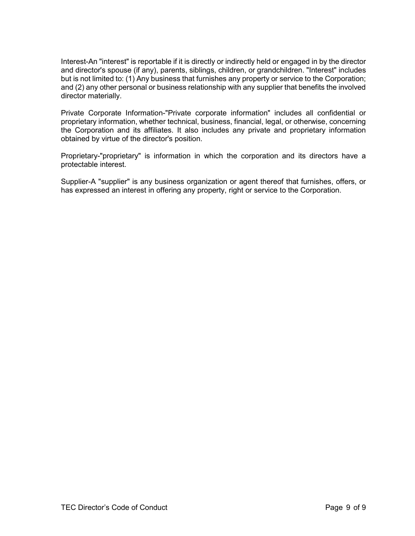Interest-An "interest" is reportable if it is directly or indirectly held or engaged in by the director and director's spouse (if any), parents, siblings, children, or grandchildren. "Interest" includes but is not limited to: (1) Any business that furnishes any property or service to the Corporation; and (2) any other personal or business relationship with any supplier that benefits the involved director materially.

Private Corporate Information-"Private corporate information" includes all confidential or proprietary information, whether technical, business, financial, legal, or otherwise, concerning the Corporation and its affiliates. It also includes any private and proprietary information obtained by virtue of the director's position.

Proprietary-"proprietary" is information in which the corporation and its directors have a protectable interest.

Supplier-A "supplier" is any business organization or agent thereof that furnishes, offers, or has expressed an interest in offering any property, right or service to the Corporation.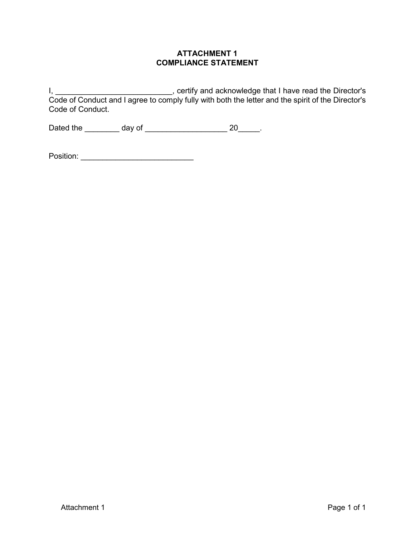## **ATTACHMENT 1 COMPLIANCE STATEMENT**

I, \_\_\_\_\_\_\_\_\_\_\_\_\_\_\_\_\_\_\_\_\_\_\_\_\_\_\_\_\_\_, certify and acknowledge that I have read the Director's Code of Conduct and I agree to comply fully with both the letter and the spirit of the Director's Code of Conduct.

Dated the \_\_\_\_\_\_\_\_ day of \_\_\_\_\_\_\_\_\_\_\_\_\_\_\_\_\_\_\_ 20\_\_\_\_\_.

| Position: |  |
|-----------|--|
|           |  |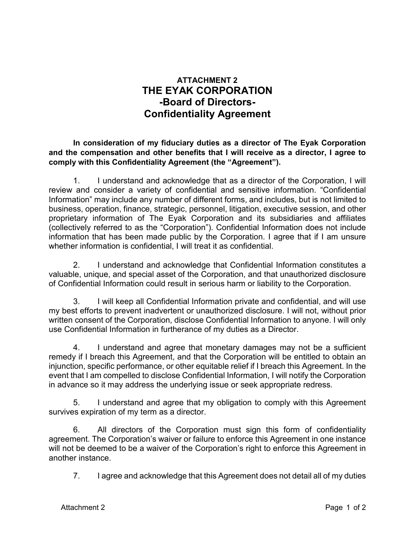# **ATTACHMENT 2 THE EYAK CORPORATION -Board of Directors-Confidentiality Agreement**

**In consideration of my fiduciary duties as a director of The Eyak Corporation and the compensation and other benefits that I will receive as a director, I agree to comply with this Confidentiality Agreement (the "Agreement").**

1. I understand and acknowledge that as a director of the Corporation, I will review and consider a variety of confidential and sensitive information. "Confidential Information" may include any number of different forms, and includes, but is not limited to business, operation, finance, strategic, personnel, litigation, executive session, and other proprietary information of The Eyak Corporation and its subsidiaries and affiliates (collectively referred to as the "Corporation"). Confidential Information does not include information that has been made public by the Corporation. I agree that if I am unsure whether information is confidential, I will treat it as confidential.

2. I understand and acknowledge that Confidential Information constitutes a valuable, unique, and special asset of the Corporation, and that unauthorized disclosure of Confidential Information could result in serious harm or liability to the Corporation.

3. I will keep all Confidential Information private and confidential, and will use my best efforts to prevent inadvertent or unauthorized disclosure. I will not, without prior written consent of the Corporation, disclose Confidential Information to anyone. I will only use Confidential Information in furtherance of my duties as a Director.

4. I understand and agree that monetary damages may not be a sufficient remedy if I breach this Agreement, and that the Corporation will be entitled to obtain an injunction, specific performance, or other equitable relief if I breach this Agreement. In the event that I am compelled to disclose Confidential Information, I will notify the Corporation in advance so it may address the underlying issue or seek appropriate redress.

5. I understand and agree that my obligation to comply with this Agreement survives expiration of my term as a director.

6. All directors of the Corporation must sign this form of confidentiality agreement. The Corporation's waiver or failure to enforce this Agreement in one instance will not be deemed to be a waiver of the Corporation's right to enforce this Agreement in another instance.

7. I agree and acknowledge that this Agreement does not detail all of my duties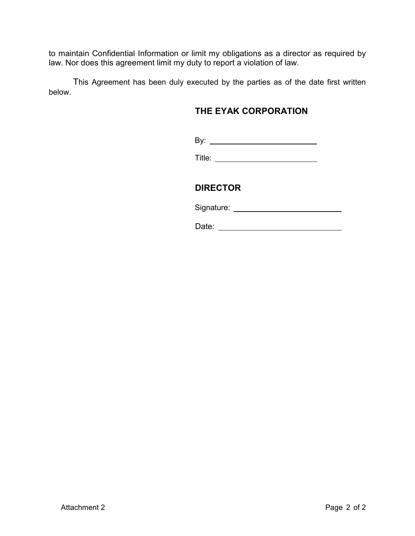to maintain Confidential Information or limit my obligations as a director as required by law. Nor does this agreement limit my duty to report a violation of law.

This Agreement has been duly executed by the parties as of the date first written below.

# **THE EYAK CORPORATION**

By:

Title: <u>\_\_\_\_\_\_\_\_\_\_\_\_\_\_\_\_\_\_\_\_\_\_\_\_\_\_\_\_\_\_\_\_\_</u>

# **DIRECTOR**

Signature:

Date: